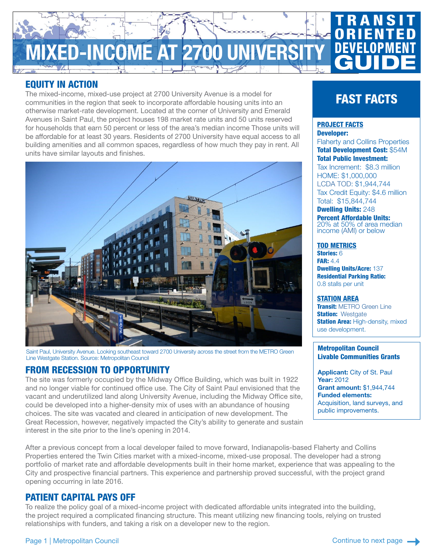

## EQUITY IN ACTION

The mixed-income, mixed-use project at 2700 University Avenue is a model for communities in the region that seek to incorporate affordable housing units into an otherwise market-rate development. Located at the corner of University and Emerald Avenues in Saint Paul, the project houses 198 market rate units and 50 units reserved for households that earn 50 percent or less of the area's median income Those units will be affordable for at least 30 years. Residents of 2700 University have equal access to all building amenities and all common spaces, regardless of how much they pay in rent. All units have similar layouts and finishes.



Saint Paul, University Avenue. Looking southeast toward 2700 University across the street from the METRO Green Line Westgate Station. Source: Metropolitan Council

# FROM RECESSION TO OPPORTUNITY

The site was formerly occupied by the Midway Office Building, which was built in 1922 and no longer viable for continued office use. The City of Saint Paul envisioned that the vacant and underutilized land along University Avenue, including the Midway Office site, could be developed into a higher-density mix of uses with an abundance of housing choices. The site was vacated and cleared in anticipation of new development. The Great Recession, however, negatively impacted the City's ability to generate and sustain interest in the site prior to the line's opening in 2014.

After a previous concept from a local developer failed to move forward, Indianapolis-based Flaherty and Collins Properties entered the Twin Cities market with a mixed-income, mixed-use proposal. The developer had a strong portfolio of market rate and affordable developments built in their home market, experience that was appealing to the City and prospective financial partners. This experience and partnership proved successful, with the project grand opening occurring in late 2016.

## PATIENT CAPITAL PAYS OFF

To realize the policy goal of a mixed-income project with dedicated affordable units integrated into the building, the project required a complicated financing structure. This meant utilizing new financing tools, relying on trusted relationships with funders, and taking a risk on a developer new to the region.

# FAST FACTS

#### PROJECT FACTS Developer:

Flaherty and Collins Properties Total Development Cost: \$54M Total Public Investment:

Tax Increment: \$8.3 million HOME: \$1,000,000 [LCDA TOD:](https://metrocouncil.org/Communities/Services/Livable-Communities-Grants.aspx) \$1,944,744 Tax Credit Equity: \$4.6 million Total: \$15,844,744

**Dwelling Units: 248** Percent Affordable Units: 20% at 50% of area median income [\(AMI](https://metrocouncil.org/Communities/Services/Livable-Communities-Grants/2017-Ownership-and-Rent-Affordability-Limits.aspx)) or below

#### TOD METRICS

Stories: 6 **FAR: 4.4** Dwelling Units/Acre: 137 Residential Parking Ratio: 0.8 stalls per unit

#### STATION AREA

**Transit: [METRO Green Line](https://www.metrotransit.org/metro-green-line) Station: Westgate Station Area: High-density, mixed** use development.

#### Metropolitan Council Livable Communities Grants

Applicant: City of St. Paul Year: 2012 Grant amount: \$1,944,744 Funded elements: Acquisition, land surveys, and public improvements.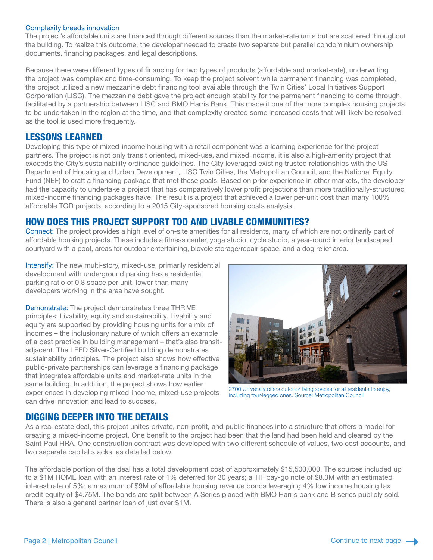#### Complexity breeds innovation

The project's affordable units are financed through different sources than the market-rate units but are scattered throughout the building. To realize this outcome, the developer needed to create two separate but parallel condominium ownership documents, financing packages, and legal descriptions.

Because there were different types of financing for two types of products (affordable and market-rate), underwriting the project was complex and time-consuming. To keep the project solvent while permanent financing was completed, the project utilized a new mezzanine debt financing tool available through the Twin Cities' Local Initiatives Support Corporation (LISC). The mezzanine debt gave the project enough stability for the permanent financing to come through, facilitated by a partnership between LISC and BMO Harris Bank. This made it one of the more complex housing projects to be undertaken in the region at the time, and that complexity created some increased costs that will likely be resolved as the tool is used more frequently.

## LESSONS LEARNED

Developing this type of mixed-income housing with a retail component was a learning experience for the project partners. The project is not only transit oriented, mixed-use, and mixed income, it is also a high-amenity project that exceeds the City's sustainability ordinance guidelines. The City leveraged existing trusted relationships with the US Department of Housing and Urban Development, LISC Twin Cities, the Metropolitan Council, and the National Equity Fund (NEF) to craft a financing package that met these goals. Based on prior experience in other markets, the developer had the capacity to undertake a project that has comparatively lower profit projections than more traditionally-structured mixed-income financing packages have. The result is a project that achieved a lower per-unit cost than many 100% affordable TOD projects, according to a 2015 City-sponsored housing costs analysis.

## HOW DOES THIS PROJECT SUPPORT TOD AND LIVABLE COMMUNITIES?

Connect: The project provides a high level of on-site amenities for all residents, many of which are not ordinarily part of affordable housing projects. These include a fitness center, yoga studio, cycle studio, a year-round interior landscaped courtyard with a pool, areas for outdoor entertaining, bicycle storage/repair space, and a dog relief area.

Intensify: The new multi-story, mixed-use, primarily residential development with underground parking has a residential parking ratio of 0.8 space per unit, lower than many developers working in the area have sought.

Demonstrate: The project demonstrates three THRIVE principles: Livability, equity and sustainability. Livability and equity are supported by providing housing units for a mix of incomes – the inclusionary nature of which offers an example of a best practice in building management – that's also transitadjacent. The LEED Silver-Certified building demonstrates sustainability principles. The project also shows how effective public-private partnerships can leverage a financing package that integrates affordable units and market-rate units in the same building. In addition, the project shows how earlier experiences in developing mixed-income, mixed-use projects can drive innovation and lead to success.



2700 University offers outdoor living spaces for all residents to enjoy, including four-legged ones. Source: Metropolitan Council

## DIGGING DEEPER INTO THE DETAILS

As a real estate deal, this project unites private, non-profit, and public finances into a structure that offers a model for creating a mixed-income project. One benefit to the project had been that the land had been held and cleared by the Saint Paul HRA. One construction contract was developed with two different schedule of values, two cost accounts, and two separate capital stacks, as detailed below.

The affordable portion of the deal has a total development cost of approximately \$15,500,000. The sources included up to a \$1M HOME loan with an interest rate of 1% deferred for 30 years; a TIF pay-go note of \$8.3M with an estimated interest rate of 5%; a maximum of \$9M of affordable housing revenue bonds leveraging 4% low income housing tax credit equity of \$4.75M. The bonds are split between A Series placed with BMO Harris bank and B series publicly sold. There is also a general partner loan of just over \$1M.